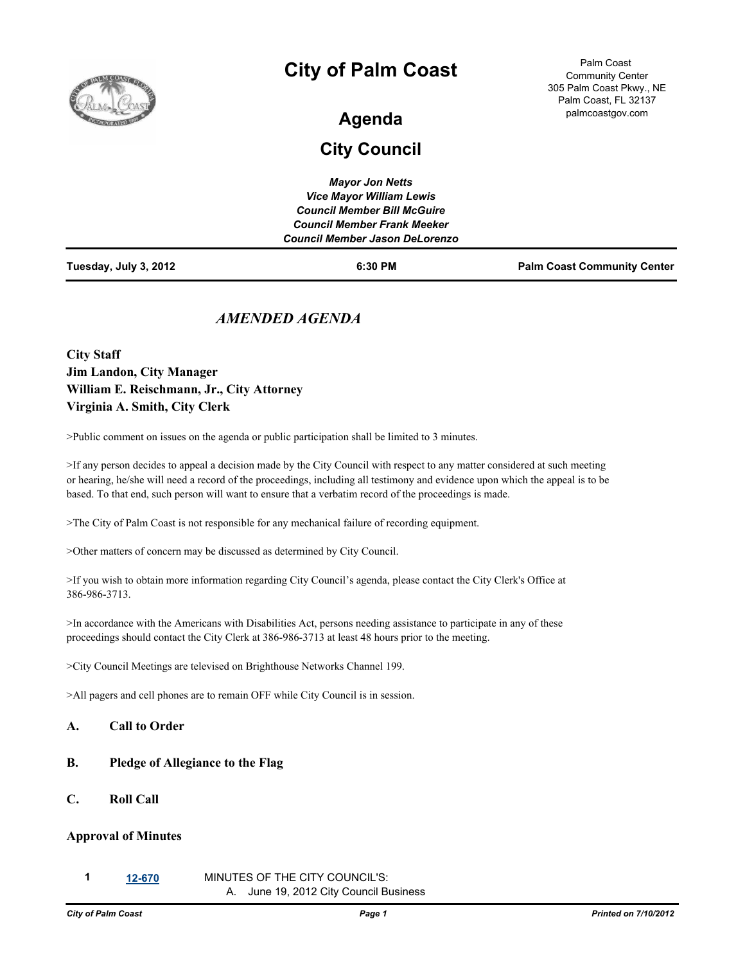

# **City of Palm Coast**

#### Palm Coast Community Center 305 Palm Coast Pkwy., NE Palm Coast, FL 32137 palmcoastgov.com

# **Agenda**

## **City Council**

| Tuesday, July 3, 2012 | 6:30 PM                               | <b>Palm Coast Community Center</b> |
|-----------------------|---------------------------------------|------------------------------------|
|                       | <b>Council Member Jason DeLorenzo</b> |                                    |
|                       | <b>Council Member Frank Meeker</b>    |                                    |
|                       | <b>Council Member Bill McGuire</b>    |                                    |
|                       | <b>Vice Mayor William Lewis</b>       |                                    |
|                       | <b>Mayor Jon Netts</b>                |                                    |

## *AMENDED AGENDA*

**City Staff Jim Landon, City Manager William E. Reischmann, Jr., City Attorney Virginia A. Smith, City Clerk**

>Public comment on issues on the agenda or public participation shall be limited to 3 minutes.

>If any person decides to appeal a decision made by the City Council with respect to any matter considered at such meeting or hearing, he/she will need a record of the proceedings, including all testimony and evidence upon which the appeal is to be based. To that end, such person will want to ensure that a verbatim record of the proceedings is made.

>The City of Palm Coast is not responsible for any mechanical failure of recording equipment.

>Other matters of concern may be discussed as determined by City Council.

>If you wish to obtain more information regarding City Council's agenda, please contact the City Clerk's Office at 386-986-3713.

>In accordance with the Americans with Disabilities Act, persons needing assistance to participate in any of these proceedings should contact the City Clerk at 386-986-3713 at least 48 hours prior to the meeting.

>City Council Meetings are televised on Brighthouse Networks Channel 199.

>All pagers and cell phones are to remain OFF while City Council is in session.

#### **A. Call to Order**

### **B. Pledge of Allegiance to the Flag**

**C. Roll Call**

#### **Approval of Minutes**

**1 [12-670](http://www.ci.palm-coast.fl.us/government/departments/city_clerk/legistar/detailreport/matter.aspx?key=5541)** MINUTES OF THE CITY COUNCIL'S: A. June 19, 2012 City Council Business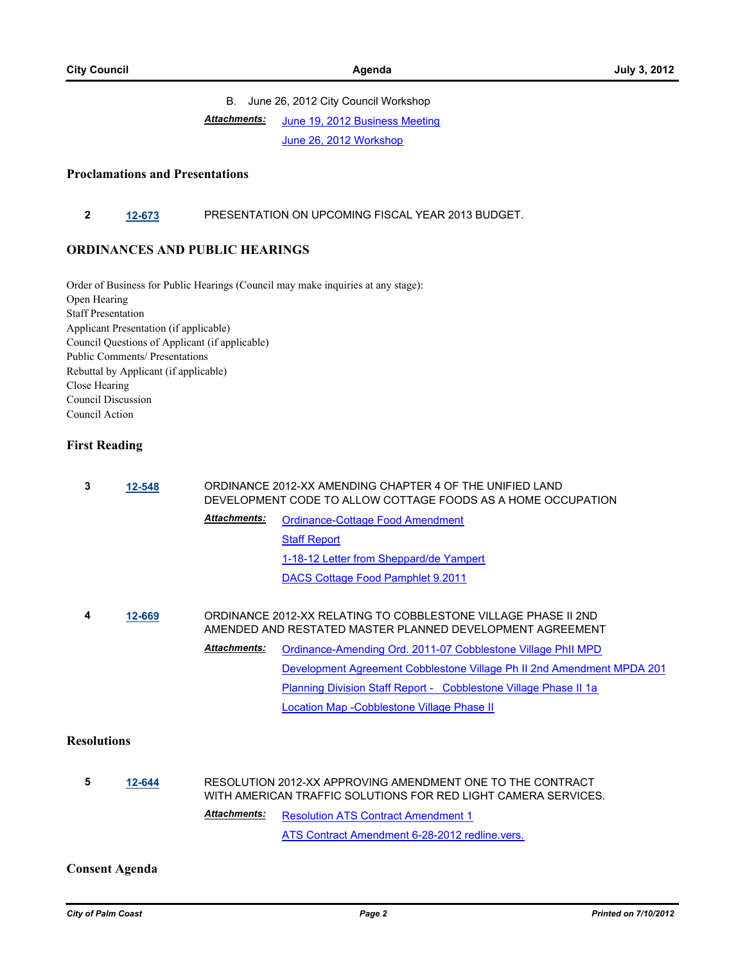#### B. June 26, 2012 City Council Workshop [June 19, 2012 Business Meeting](http://www.ci.palm-coast.fl.us/government/departments/city_clerk/legistar/attachments/032b2063-c603-43d4-8c02-af41583c9a45.pdf) [June 26, 2012 Workshop](http://www.ci.palm-coast.fl.us/government/departments/city_clerk/legistar/attachments/9939af12-2364-4194-bcdd-eccdd67e9cc5.PDF) *Attachments:*

#### **Proclamations and Presentations**

### **2 [12-673](http://www.ci.palm-coast.fl.us/government/departments/city_clerk/legistar/detailreport/matter.aspx?key=5544)** PRESENTATION ON UPCOMING FISCAL YEAR 2013 BUDGET.

#### **ORDINANCES AND PUBLIC HEARINGS**

Order of Business for Public Hearings (Council may make inquiries at any stage): Open Hearing Staff Presentation Applicant Presentation (if applicable) Council Questions of Applicant (if applicable) Public Comments/ Presentations Rebuttal by Applicant (if applicable) Close Hearing Council Discussion Council Action

#### **First Reading**

| 3 | 12-548 | ORDINANCE 2012-XX AMENDING CHAPTER 4 OF THE UNIFIED LAND<br>DEVELOPMENT CODE TO ALLOW COTTAGE FOODS AS A HOME OCCUPATION |                                                                                                                             |  |
|---|--------|--------------------------------------------------------------------------------------------------------------------------|-----------------------------------------------------------------------------------------------------------------------------|--|
|   |        | <b>Attachments:</b>                                                                                                      | Ordinance-Cottage Food Amendment                                                                                            |  |
|   |        |                                                                                                                          | <b>Staff Report</b>                                                                                                         |  |
|   |        |                                                                                                                          | 1-18-12 Letter from Sheppard/de Yampert                                                                                     |  |
|   |        |                                                                                                                          | DACS Cottage Food Pamphlet 9.2011                                                                                           |  |
|   |        |                                                                                                                          |                                                                                                                             |  |
| 4 | 12-669 |                                                                                                                          | ORDINANCE 2012-XX RELATING TO COBBLESTONE VILLAGE PHASE II 2ND<br>AMENDED AND RESTATED MASTER PLANNED DEVELOPMENT AGREEMENT |  |
|   |        | <b>Attachments:</b>                                                                                                      | Ordinance-Amending Ord. 2011-07 Cobblestone Village Phil MPD                                                                |  |
|   |        |                                                                                                                          | Development Agreement Cobblestone Village Ph II 2nd Amendment MPDA 201                                                      |  |
|   |        |                                                                                                                          | Planning Division Staff Report - Cobblestone Village Phase II 1a                                                            |  |
|   |        |                                                                                                                          |                                                                                                                             |  |

#### **Resolutions**

**5 [12-644](http://www.ci.palm-coast.fl.us/government/departments/city_clerk/legistar/detailreport/matter.aspx?key=5517)** RESOLUTION 2012-XX APPROVING AMENDMENT ONE TO THE CONTRACT WITH AMERICAN TRAFFIC SOLUTIONS FOR RED LIGHT CAMERA SERVICES. [Resolution ATS Contract Amendment 1](http://www.ci.palm-coast.fl.us/government/departments/city_clerk/legistar/attachments/0b0b8d3d-6965-4b4d-854d-fbd01a11fb07.doc) [ATS Contract Amendment 6-28-2012 redline.vers.](http://www.ci.palm-coast.fl.us/government/departments/city_clerk/legistar/attachments/25b8cd54-a96e-4b22-8ea9-549cd9e18cb3.doc) *Attachments:*

#### **Consent Agenda**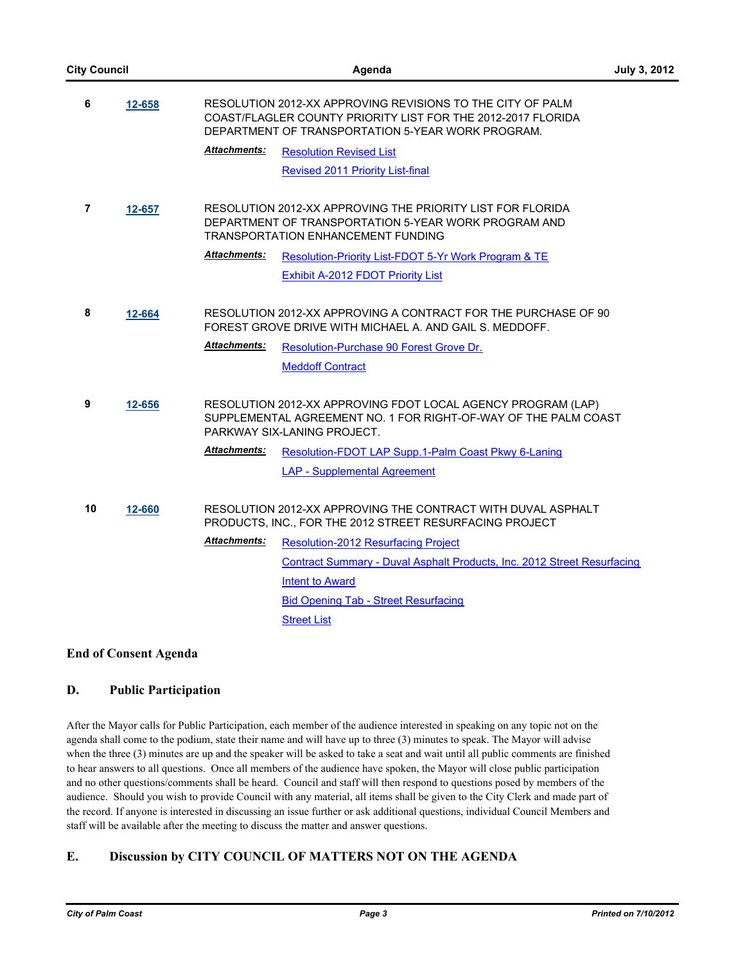| <b>City Council</b> |        |                                                                                                                         | Agenda                                                                                                                                                                          |  |
|---------------------|--------|-------------------------------------------------------------------------------------------------------------------------|---------------------------------------------------------------------------------------------------------------------------------------------------------------------------------|--|
| 6                   | 12-658 |                                                                                                                         | RESOLUTION 2012-XX APPROVING REVISIONS TO THE CITY OF PALM<br>COAST/FLAGLER COUNTY PRIORITY LIST FOR THE 2012-2017 FLORIDA<br>DEPARTMENT OF TRANSPORTATION 5-YEAR WORK PROGRAM. |  |
|                     |        | <b>Attachments:</b>                                                                                                     | <b>Resolution Revised List</b>                                                                                                                                                  |  |
|                     |        |                                                                                                                         | <b>Revised 2011 Priority List-final</b>                                                                                                                                         |  |
| $\overline{7}$      | 12-657 |                                                                                                                         | RESOLUTION 2012-XX APPROVING THE PRIORITY LIST FOR FLORIDA<br>DEPARTMENT OF TRANSPORTATION 5-YEAR WORK PROGRAM AND<br><b>TRANSPORTATION ENHANCEMENT FUNDING</b>                 |  |
|                     |        | <b>Attachments:</b>                                                                                                     | Resolution-Priority List-FDOT 5-Yr Work Program & TE                                                                                                                            |  |
|                     |        |                                                                                                                         | Exhibit A-2012 FDOT Priority List                                                                                                                                               |  |
| 8<br>12-664         |        |                                                                                                                         | RESOLUTION 2012-XX APPROVING A CONTRACT FOR THE PURCHASE OF 90<br>FOREST GROVE DRIVE WITH MICHAEL A. AND GAIL S. MEDDOFF.                                                       |  |
|                     |        | <b>Attachments:</b>                                                                                                     | Resolution-Purchase 90 Forest Grove Dr.                                                                                                                                         |  |
|                     |        |                                                                                                                         | <b>Meddoff Contract</b>                                                                                                                                                         |  |
| 9<br>12-656         |        |                                                                                                                         | RESOLUTION 2012-XX APPROVING FDOT LOCAL AGENCY PROGRAM (LAP)<br>SUPPLEMENTAL AGREEMENT NO. 1 FOR RIGHT-OF-WAY OF THE PALM COAST<br>PARKWAY SIX-LANING PROJECT.                  |  |
|                     |        | <b>Attachments:</b>                                                                                                     | Resolution-FDOT LAP Supp.1-Palm Coast Pkwy 6-Laning                                                                                                                             |  |
|                     |        |                                                                                                                         | <b>LAP - Supplemental Agreement</b>                                                                                                                                             |  |
| 10                  | 12-660 | RESOLUTION 2012-XX APPROVING THE CONTRACT WITH DUVAL ASPHALT<br>PRODUCTS, INC., FOR THE 2012 STREET RESURFACING PROJECT |                                                                                                                                                                                 |  |
|                     |        | <b>Attachments:</b>                                                                                                     | <b>Resolution-2012 Resurfacing Project</b>                                                                                                                                      |  |
|                     |        |                                                                                                                         | <b>Contract Summary - Duval Asphalt Products, Inc. 2012 Street Resurfacing</b>                                                                                                  |  |
|                     |        |                                                                                                                         | <b>Intent to Award</b>                                                                                                                                                          |  |
|                     |        |                                                                                                                         | <b>Bid Opening Tab - Street Resurfacing</b>                                                                                                                                     |  |
|                     |        |                                                                                                                         | <b>Street List</b>                                                                                                                                                              |  |

### **End of Consent Agenda**

## **D. Public Participation**

After the Mayor calls for Public Participation, each member of the audience interested in speaking on any topic not on the agenda shall come to the podium, state their name and will have up to three (3) minutes to speak. The Mayor will advise when the three (3) minutes are up and the speaker will be asked to take a seat and wait until all public comments are finished to hear answers to all questions. Once all members of the audience have spoken, the Mayor will close public participation and no other questions/comments shall be heard. Council and staff will then respond to questions posed by members of the audience. Should you wish to provide Council with any material, all items shall be given to the City Clerk and made part of the record. If anyone is interested in discussing an issue further or ask additional questions, individual Council Members and staff will be available after the meeting to discuss the matter and answer questions.

## **E. Discussion by CITY COUNCIL OF MATTERS NOT ON THE AGENDA**